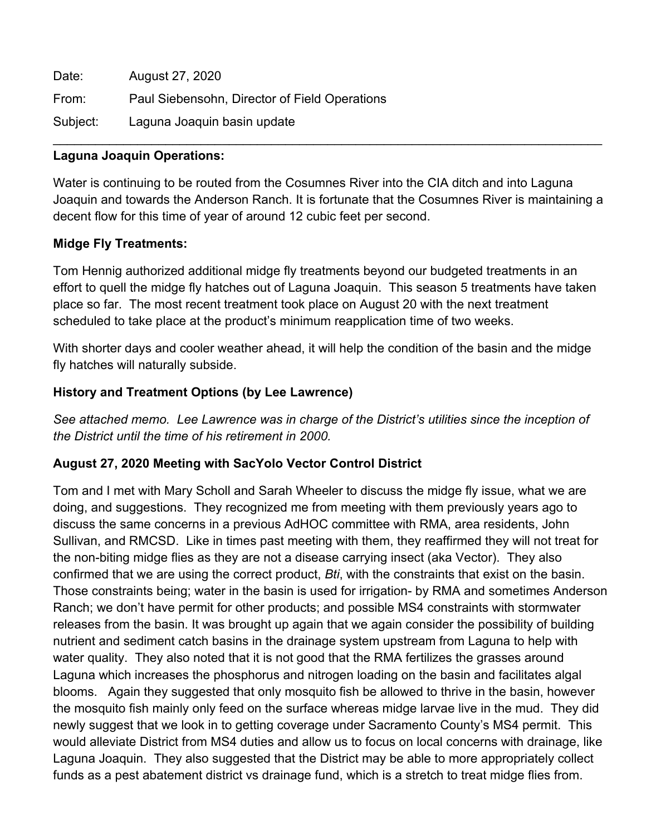| Date:    | August 27, 2020                               |
|----------|-----------------------------------------------|
| From:    | Paul Siebensohn, Director of Field Operations |
| Subject: | Laguna Joaquin basin update                   |

## **Laguna Joaquin Operations:**

Water is continuing to be routed from the Cosumnes River into the CIA ditch and into Laguna Joaquin and towards the Anderson Ranch. It is fortunate that the Cosumnes River is maintaining a decent flow for this time of year of around 12 cubic feet per second.

 $\mathcal{L}_\mathcal{L} = \mathcal{L}_\mathcal{L} = \mathcal{L}_\mathcal{L} = \mathcal{L}_\mathcal{L} = \mathcal{L}_\mathcal{L} = \mathcal{L}_\mathcal{L} = \mathcal{L}_\mathcal{L} = \mathcal{L}_\mathcal{L} = \mathcal{L}_\mathcal{L} = \mathcal{L}_\mathcal{L} = \mathcal{L}_\mathcal{L} = \mathcal{L}_\mathcal{L} = \mathcal{L}_\mathcal{L} = \mathcal{L}_\mathcal{L} = \mathcal{L}_\mathcal{L} = \mathcal{L}_\mathcal{L} = \mathcal{L}_\mathcal{L}$ 

## **Midge Fly Treatments:**

Tom Hennig authorized additional midge fly treatments beyond our budgeted treatments in an effort to quell the midge fly hatches out of Laguna Joaquin. This season 5 treatments have taken place so far. The most recent treatment took place on August 20 with the next treatment scheduled to take place at the product's minimum reapplication time of two weeks.

With shorter days and cooler weather ahead, it will help the condition of the basin and the midge fly hatches will naturally subside.

## **History and Treatment Options (by Lee Lawrence)**

*See attached memo. Lee Lawrence was in charge of the District's utilities since the inception of the District until the time of his retirement in 2000.* 

## **August 27, 2020 Meeting with SacYolo Vector Control District**

Tom and I met with Mary Scholl and Sarah Wheeler to discuss the midge fly issue, what we are doing, and suggestions. They recognized me from meeting with them previously years ago to discuss the same concerns in a previous AdHOC committee with RMA, area residents, John Sullivan, and RMCSD. Like in times past meeting with them, they reaffirmed they will not treat for the non-biting midge flies as they are not a disease carrying insect (aka Vector). They also confirmed that we are using the correct product, *Bti*, with the constraints that exist on the basin. Those constraints being; water in the basin is used for irrigation- by RMA and sometimes Anderson Ranch; we don't have permit for other products; and possible MS4 constraints with stormwater releases from the basin. It was brought up again that we again consider the possibility of building nutrient and sediment catch basins in the drainage system upstream from Laguna to help with water quality. They also noted that it is not good that the RMA fertilizes the grasses around Laguna which increases the phosphorus and nitrogen loading on the basin and facilitates algal blooms. Again they suggested that only mosquito fish be allowed to thrive in the basin, however the mosquito fish mainly only feed on the surface whereas midge larvae live in the mud. They did newly suggest that we look in to getting coverage under Sacramento County's MS4 permit. This would alleviate District from MS4 duties and allow us to focus on local concerns with drainage, like Laguna Joaquin. They also suggested that the District may be able to more appropriately collect funds as a pest abatement district vs drainage fund, which is a stretch to treat midge flies from.